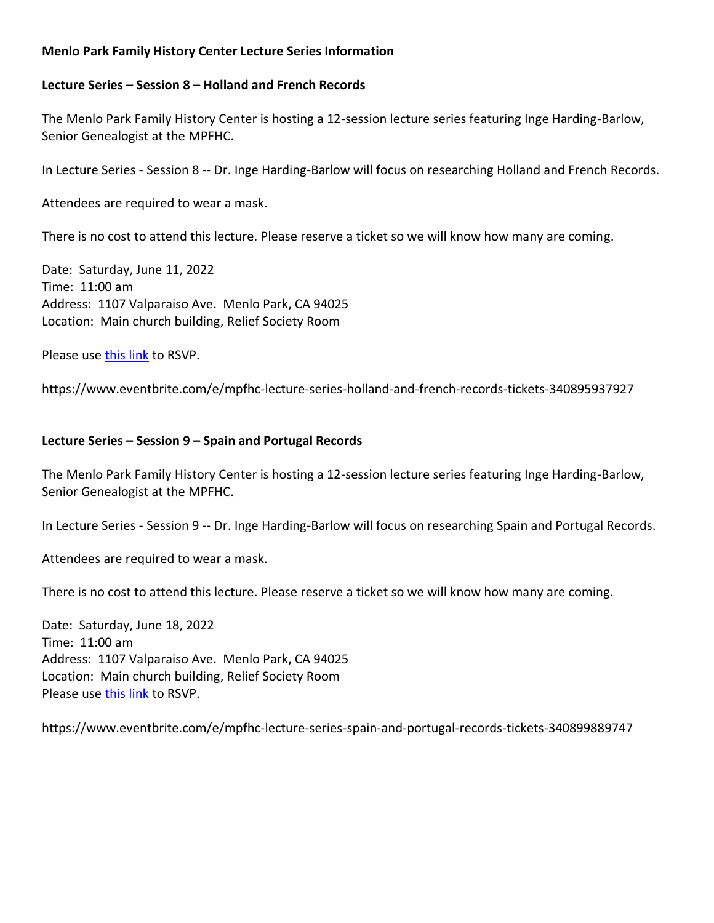# **Menlo Park Family History Center Lecture Series Information**

## **Lecture Series – Session 8 – Holland and French Records**

The Menlo Park Family History Center is hosting a 12-session lecture series featuring Inge Harding-Barlow, Senior Genealogist at the MPFHC.

In Lecture Series - Session 8 -- Dr. Inge Harding-Barlow will focus on researching Holland and French Records.

Attendees are required to wear a mask.

There is no cost to attend this lecture. Please reserve a ticket so we will know how many are coming.

Date: Saturday, June 11, 2022 Time: 11:00 am Address: 1107 Valparaiso Ave. Menlo Park, CA 94025 Location: Main church building, Relief Society Room

Please us[e this link](https://www.eventbrite.com/e/mpfhc-lecture-series-holland-and-french-records-tickets-340895937927) to RSVP.

https://www.eventbrite.com/e/mpfhc-lecture-series-holland-and-french-records-tickets-340895937927

## **Lecture Series – Session 9 – Spain and Portugal Records**

The Menlo Park Family History Center is hosting a 12-session lecture series featuring Inge Harding-Barlow, Senior Genealogist at the MPFHC.

In Lecture Series - Session 9 -- Dr. Inge Harding-Barlow will focus on researching Spain and Portugal Records.

Attendees are required to wear a mask.

There is no cost to attend this lecture. Please reserve a ticket so we will know how many are coming.

Date: Saturday, June 18, 2022 Time: 11:00 am Address: 1107 Valparaiso Ave. Menlo Park, CA 94025 Location: Main church building, Relief Society Room Please us[e this link](https://www.eventbrite.com/e/mpfhc-lecture-series-spain-and-portugal-records-tickets-340899889747) to RSVP.

https://www.eventbrite.com/e/mpfhc-lecture-series-spain-and-portugal-records-tickets-340899889747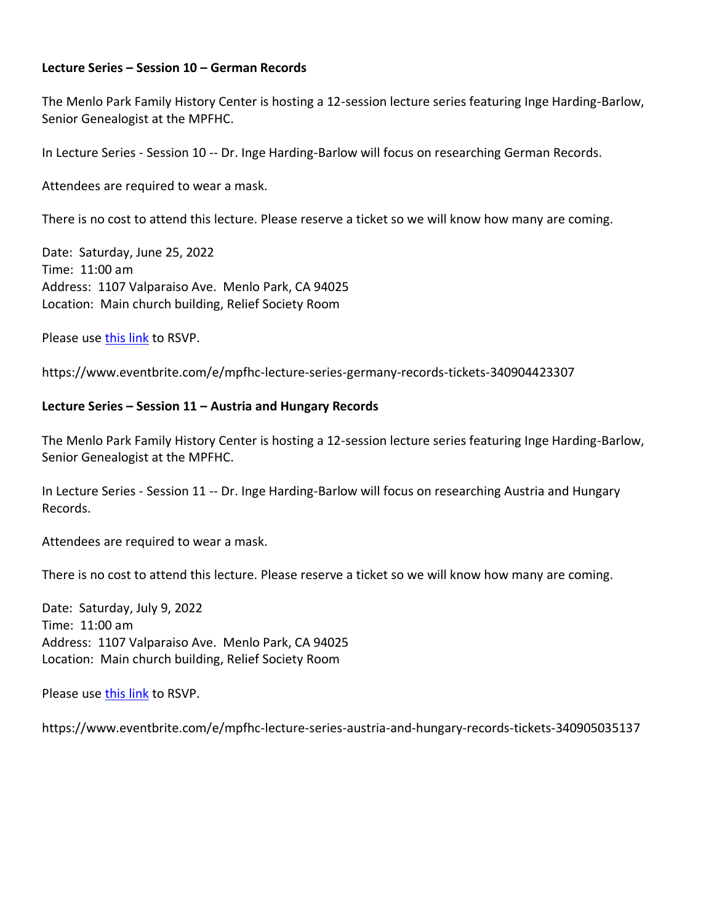### **Lecture Series – Session 10 – German Records**

The Menlo Park Family History Center is hosting a 12-session lecture series featuring Inge Harding-Barlow, Senior Genealogist at the MPFHC.

In Lecture Series - Session 10 -- Dr. Inge Harding-Barlow will focus on researching German Records.

Attendees are required to wear a mask.

There is no cost to attend this lecture. Please reserve a ticket so we will know how many are coming.

Date: Saturday, June 25, 2022 Time: 11:00 am Address: 1107 Valparaiso Ave. Menlo Park, CA 94025 Location: Main church building, Relief Society Room

Please us[e this link](https://www.eventbrite.com/e/mpfhc-lecture-series-germany-records-tickets-340904423307) to RSVP.

https://www.eventbrite.com/e/mpfhc-lecture-series-germany-records-tickets-340904423307

#### **Lecture Series – Session 11 – Austria and Hungary Records**

The Menlo Park Family History Center is hosting a 12-session lecture series featuring Inge Harding-Barlow, Senior Genealogist at the MPFHC.

In Lecture Series - Session 11 -- Dr. Inge Harding-Barlow will focus on researching Austria and Hungary Records.

Attendees are required to wear a mask.

There is no cost to attend this lecture. Please reserve a ticket so we will know how many are coming.

Date: Saturday, July 9, 2022 Time: 11:00 am Address: 1107 Valparaiso Ave. Menlo Park, CA 94025 Location: Main church building, Relief Society Room

Please us[e this link](https://www.eventbrite.com/e/mpfhc-lecture-series-austria-and-hungary-records-tickets-340905035137) to RSVP.

https://www.eventbrite.com/e/mpfhc-lecture-series-austria-and-hungary-records-tickets-340905035137